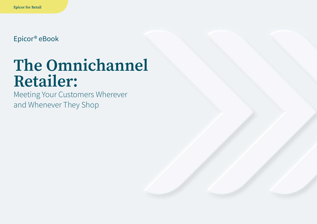Epicor® eBook

# **The Omnichannel Retailer:**

Meeting Your Customers Wherever and Whenever They Shop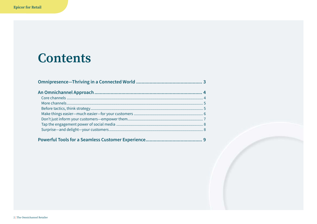## **Contents**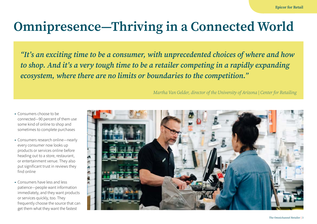## <span id="page-2-0"></span>**Omnipresence—Thriving in a Connected World**

*"It's an exciting time to be a consumer, with unprecedented choices of where and how to shop. And it's a very tough time to be a retailer competing in a rapidly expanding ecosystem, where there are no limits or boundaries to the competition."*

*Martha Van Gelder, director of the University of Arizona | Center for Retailing*

- **•** Consumers choose to be connected—90 percent of them use some kind of online to shop and sometimes to complete purchases
- **•** Consumers research online—nearly every consumer now looks up products or services online before heading out to a store, restaurant, or entertainment venue. They also put significant trust in reviews they find online
- **•** Consumers have less and less patience—people want information immediately, and they want products or services quickly, too. They frequently choose the source that can get them what they want the fastest

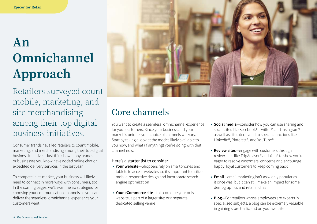## <span id="page-3-0"></span>**An Omnichannel Approach**

Retailers surveyed count mobile, marketing, and site merchandising among their top digital business initiatives.

Consumer trends have led retailers to count mobile, marketing, and merchandising among their top digital business initiatives. Just think how many brands or businesses you know have added online chat or expedited delivery services in the last year.

To compete in its market, your business will likely need to connect in more ways with consumers, too. In the coming pages, we'll examine six strategies for choosing your communication channels so you can deliver the seamless, omnichannel experience your customers want.



### Core channels

You want to create a seamless, omnichannel experience for your customers. Since your business and your market is unique, your choice of channels will vary. Start by taking a look at the modes likely available to you now, and what (if anything) you're doing with that channel now.

#### Here's a starter list to consider:

- **• Your website**—Shoppers rely on smartphones and tablets to access websites, so it's important to utilize mobile-responsive design and incorporate search engine optimization
- **• Your eCommerce site**—this could be your only website; a part of a larger site; or a separate, dedicated selling venue
- **• Social media**—consider how you can use sharing and social sites like Facebook®, Twitter®, and Instagram® as well as sites dedicated to specific functions like LinkedIn®, Pinterest®, and YouTube®
- **• Review sites**—engage with customers through review sites like TripAdvisor® and Yelp® to show you're eager to resolve customers' concerns and encourage happy, loyal customers to keep coming back
- **• Email**—email marketing isn't as widely popular as it once was, but it can still make an impact for some demographics and retail niches
- **• Blog**—For retailers whose employees are experts in specialized subjects, a blog can be extremely valuable in gaining store traffic and on your website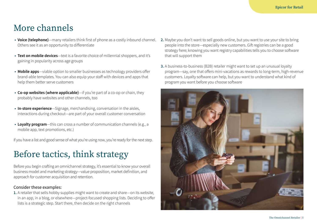### <span id="page-4-0"></span>More channels

- **• Voice (telephone)**—many retailers think first of phone as a costly inbound channel. Others see it as an opportunity to differentiate
- **• Text on mobile devices**—text is a favorite choice of millennial shoppers, and it's gaining in popularity across age groups
- **• Mobile apps**—viable option to smaller businesses as technology providers offer brand-able templates. You can also equip your staff with devices and apps that help them better serve customers
- **• Co-op websites (where applicable)**—if you're part of a co-op or chain, they probably have websites and other channels, too
- **• In-store experience**—Signage, merchandising, conversation in the aisles, interactions during checkout—are part of your overall customer conversation
- **• Loyalty program**—this can cross a number of communication channels (e.g., a mobile app, text promotions, etc.)

If you have a list and good sense of what you're using now, you're ready for the next step.

### Before tactics, think strategy

Before you begin crafting an omnichannel strategy, it's essential to know your overall business model and marketing strategy—value proposition, market definition, and approach for customer acquisition and retention.

#### Consider these examples:

**1.** A retailer that sells hobby supplies might want to create and share—on its website, in an app, in a blog, or elsewhere—project-focused shopping lists. Deciding to offer lists is a strategic step. Start there, then decide on the right channels

- **2.** Maybe you don't want to sell goods online, but you want to use your site to bring people into the store—especially new customers. Gift registries can be a good strategy here; knowing you want registry capabilities tells you to choose software that will support them
- **3.** A business-to-business (B2B) retailer might want to set up an unusual loyalty program—say, one that offers mini-vacations as rewards to long-term, high-revenue customers. Loyalty software can help, but you want to understand what kind of program you want before you choose software

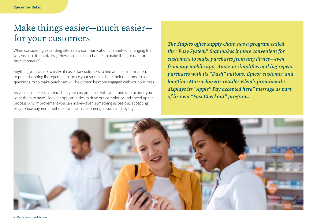### <span id="page-5-0"></span>Make things easier—much easier for your customers

When considering expanding into a new communication channel—or changing the way you use it—think first, "How can I use this channel to make things easier for my customers?"

Anything you can do to make it easier for customers to find and use information, to put a shopping list together, to locate your store, to share their opinions, to ask questions, or to make purchases will help them be more engaged with your business.

As you consider each interaction your customer has with you—and interactions you want them to have—look for opportunities to drive out complexity and speed up the process. Any improvement you can make—even something as basic as accepting easy-to-use payment methods—will earn customer gratitude and loyalty.

*The Staples office supply chain has a program called the "Easy System" that makes it more convenient for customers to make purchases from any device—even from any mobile app. Amazon simplifies making repeat purchases with its "Dash" buttons. Epicor customer and longtime Massachusetts retailer Klem's prominently displays its "Apple® Pay accepted here" message as part of its own "Fast Checkout" program.*

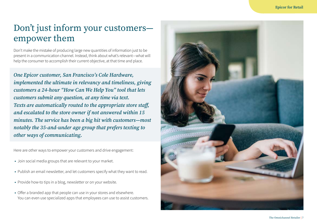### <span id="page-6-0"></span>Don't just inform your customers empower them

Don't make the mistake of producing large new quantities of information just to be present in a communication channel. Instead, think about what's relevant—what will help the consumer to accomplish their current objective, at that time and place.

*One Epicor customer, San Francisco's Cole Hardware, implemented the ultimate in relevancy and timeliness, giving customers a 24-hour "How Can We Help You" tool that lets customers submit any question, at any time via text. Texts are automatically routed to the appropriate store staff, and escalated to the store owner if not answered within 15 minutes. The service has been a big hit with customers—most notably the 35-and-under age group that prefers texting to other ways of communicating.*

Here are other ways to empower your customers and drive engagement:

- **•** Join social media groups that are relevant to your market.
- **•** Publish an email newsletter, and let customers specify what they want to read.
- **•** Provide how-to tips in a blog, newsletter or on your website.
- **•** Offer a branded app that people can use in your stores and elsewhere. You can even use specialized apps that employees can use to assist customers.

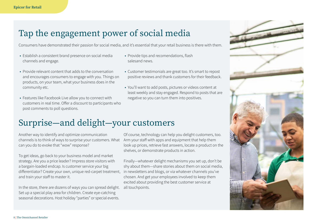### <span id="page-7-0"></span>Tap the engagement power of social media

Consumers have demonstrated their passion for social media, and it's essential that your retail business is there with them.

- **•** Establish a consistent brand presence on social media channels and engage.
- **•** Provide relevant content that adds to the conversation and encourages consumers to engage with you. Things on products, on your team, what your business does in the community etc.
- **•** Features like Facebook Live allow you to connect with customers in real time. Offer a discount to participants who post comments to poll questions.
- **•** Provide tips and recomendations, flash salesand news.
- **•** Customer testimonials are great too. It's smart to repost positive reviews and thank customers for their feedback.
- **•** You'll want to add posts, pictures or videos content at least weekly and stay engaged. Respond to posts that are negative so you can turn them into positives.

### Surprise—and delight—your customers

Another way to identify and optimize communication channels is to think of ways to surprise your customers. What Arm your staff with apps and equipment that help them can you do to evoke that "wow" response?

To get ideas, go back to your business model and market strategy. Are you a price leader? Impress store visitors with a bargain-loaded endcap. Is customer service your big differentiator? Create your own, unique red-carpet treatment, and train your staff to master it.

In the store, there are dozens of ways you can spread delight. all touchpoints.Set up a special play area for children. Create eye-catching seasonal decorations. Host holiday "parties" or special events.

Of course, technology can help you delight customers, too. look up prices, retrieve fast answers, locate a product on the shelves, or demonstrate products in action.

Finally—whatever delight mechanisms you set up, don't be shy about them—share stories about them on social media, in newsletters and blogs, or via whatever channels you've chosen. And get your employees involved to keep them excited about providing the best customer service at

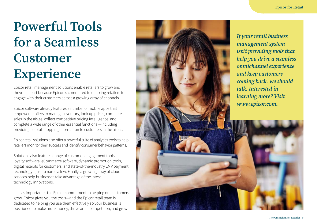## <span id="page-8-0"></span>**Powerful Tools for a Seamless Customer Experience**

Epicor retail management solutions enable retailers to grow and thrive—in part because Epicor is committed to enabling retailers to engage with their customers across a growing array of channels.

Epicor software already features a number of mobile apps that empower retailers to manage inventory, look up prices, complete sales in the aisles, collect competitive pricing intelligence, and complete a wide range of other essential functions —including providing helpful shopping information to customers in the aisles.

Epicor retail solutions also offer a powerful suite of analytics tools to help retailers monitor their success and identify consumer behavior patterns.

Solutions also feature a range of customer engagement tools loyalty software, eCommerce software, dynamic promotion tools, digital receipts for customers, and state-of-the-industry EMV payment technology—just to name a few. Finally, a growing array of cloud services help businesses take advantage of the latest technology innovations.

Just as important is the Epicor commitment to helping our customers grow. Epicor gives you the tools—and the Epicor retail team is dedicated to helping you use them effectively so your business is positioned to make more money, thrive amid competition, and grow.